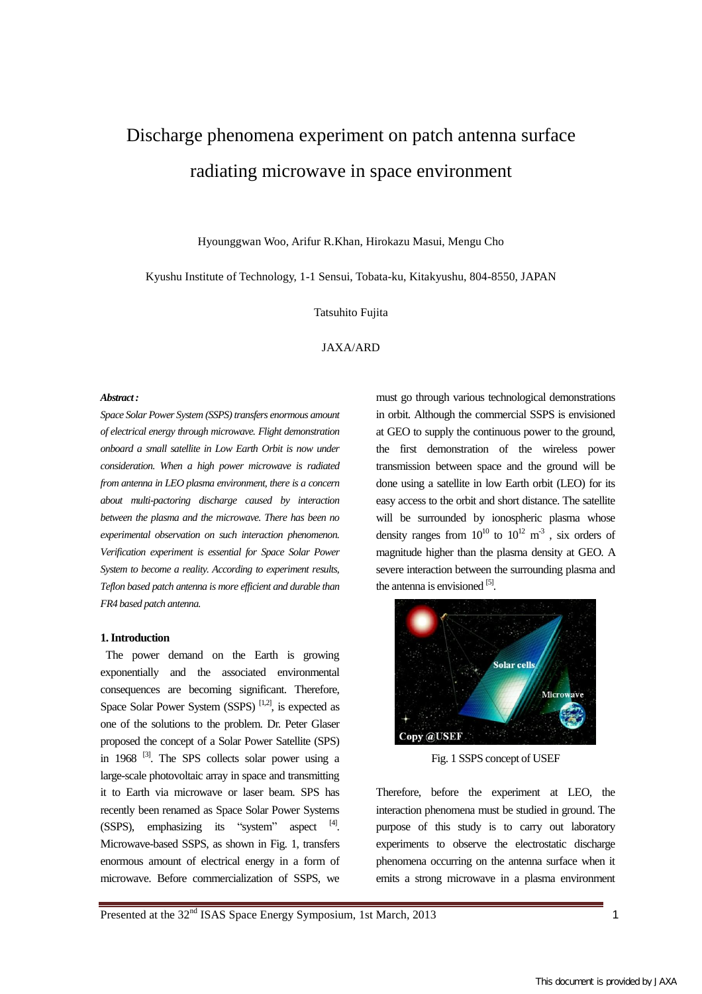# Discharge phenomena experiment on patch antenna surface radiating microwave in space environment

Hyounggwan Woo, Arifur R.Khan, Hirokazu Masui, Mengu Cho

Kyushu Institute of Technology, 1-1 Sensui, Tobata-ku, Kitakyushu, 804-8550, JAPAN

Tatsuhito Fujita

JAXA/ARD

#### *Abstract :*

*Space Solar Power System (SSPS) transfers enormous amount of electrical energy through microwave. Flight demonstration onboard a small satellite in Low Earth Orbit is now under consideration. When a high power microwave is radiated from antenna in LEO plasma environment, there is a concern about multi-pactoring discharge caused by interaction between the plasma and the microwave. There has been no experimental observation on such interaction phenomenon. Verification experiment is essential for Space Solar Power System to become a reality. According to experiment results, Teflon based patch antenna is more efficient and durable than FR4 based patch antenna.* 

#### **1. Introduction**

The power demand on the Earth is growing exponentially and the associated environmental consequences are becoming significant. Therefore, Space Solar Power System (SSPS)  $[1,2]$ , is expected as one of the solutions to the problem. Dr. Peter Glaser proposed the concept of a Solar Power Satellite (SPS) in 1968  $^{[3]}$ . The SPS collects solar power using a large-scale photovoltaic array in space and transmitting it to Earth via microwave or laser beam. SPS has recently been renamed as Space Solar Power Systems  $(SSPS)$ , emphasizing its "system" aspect  $[4]$ . Microwave-based SSPS, as shown in Fig. 1, transfers enormous amount of electrical energy in a form of microwave. Before commercialization of SSPS, we

must go through various technological demonstrations in orbit. Although the commercial SSPS is envisioned at GEO to supply the continuous power to the ground, the first demonstration of the wireless power transmission between space and the ground will be done using a satellite in low Earth orbit (LEO) for its easy access to the orbit and short distance. The satellite will be surrounded by ionospheric plasma whose density ranges from  $10^{10}$  to  $10^{12}$  m<sup>-3</sup>, six orders of magnitude higher than the plasma density at GEO. A severe interaction between the surrounding plasma and the antenna is envisioned [5].



Fig. 1 SSPS concept of USEF

Therefore, before the experiment at LEO, the interaction phenomena must be studied in ground. The purpose of this study is to carry out laboratory experiments to observe the electrostatic discharge phenomena occurring on the antenna surface when it emits a strong microwave in a plasma environment

Presented at the 32<sup>nd</sup> ISAS Space Energy Symposium, 1st March, 2013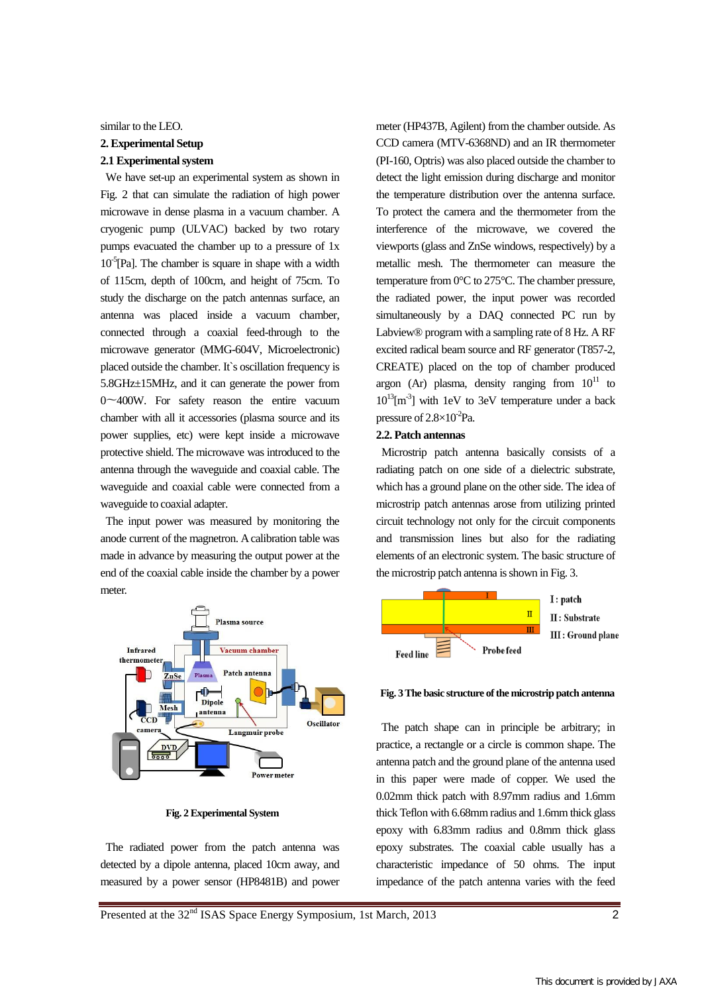#### similar to the LEO.

# **2. Experimental Setup 2.1 Experimental system**

We have set-up an experimental system as shown in Fig. 2 that can simulate the radiation of high power microwave in dense plasma in a vacuum chamber. A cryogenic pump (ULVAC) backed by two rotary pumps evacuated the chamber up to a pressure of 1x  $10<sup>-5</sup>[Pa]$ . The chamber is square in shape with a width of 115cm, depth of 100cm, and height of 75cm. To study the discharge on the patch antennas surface, an antenna was placed inside a vacuum chamber, connected through a coaxial feed-through to the microwave generator (MMG-604V, Microelectronic) placed outside the chamber. It`s oscillation frequency is 5.8GHz±15MHz, and it can generate the power from 0〜400W. For safety reason the entire vacuum chamber with all it accessories (plasma source and its power supplies, etc) were kept inside a microwave protective shield. The microwave was introduced to the antenna through the waveguide and coaxial cable. The waveguide and coaxial cable were connected from a waveguide to coaxial adapter.

The input power was measured by monitoring the anode current of the magnetron. A calibration table was made in advance by measuring the output power at the end of the coaxial cable inside the chamber by a power meter.



**Fig. 2 Experimental System** 

The radiated power from the patch antenna was detected by a dipole antenna, placed 10cm away, and measured by a power sensor (HP8481B) and power meter (HP437B, Agilent) from the chamber outside. As CCD camera (MTV-6368ND) and an IR thermometer (PI-160, Optris) was also placed outside the chamber to detect the light emission during discharge and monitor the temperature distribution over the antenna surface. To protect the camera and the thermometer from the interference of the microwave, we covered the viewports (glass and ZnSe windows, respectively) by a metallic mesh. The thermometer can measure the temperature from 0°C to 275°C. The chamber pressure, the radiated power, the input power was recorded simultaneously by a DAQ connected PC run by Labview® program with a sampling rate of 8 Hz. A RF excited radical beam source and RF generator (T857-2, CREATE) placed on the top of chamber produced argon (Ar) plasma, density ranging from  $10^{11}$  to  $10^{13}$ [m<sup>-3</sup>] with 1eV to 3eV temperature under a back pressure of  $2.8 \times 10^{-2}$ Pa.

## **2.2. Patch antennas**

Microstrip patch antenna basically consists of a radiating patch on one side of a dielectric substrate, which has a ground plane on the other side. The idea of microstrip patch antennas arose from utilizing printed circuit technology not only for the circuit components and transmission lines but also for the radiating elements of an electronic system. The basic structure of the microstrip patch antenna is shown in Fig. 3.



**Fig. 3 The basic structure of the microstrip patch antenna** 

The patch shape can in principle be arbitrary; in practice, a rectangle or a circle is common shape. The antenna patch and the ground plane of the antenna used in this paper were made of copper. We used the 0.02mm thick patch with 8.97mm radius and 1.6mm thick Teflon with 6.68mm radius and 1.6mm thick glass epoxy with 6.83mm radius and 0.8mm thick glass epoxy substrates. The coaxial cable usually has a characteristic impedance of 50 ohms. The input impedance of the patch antenna varies with the feed

Presented at the 32<sup>nd</sup> ISAS Space Energy Symposium, 1st March, 2013 2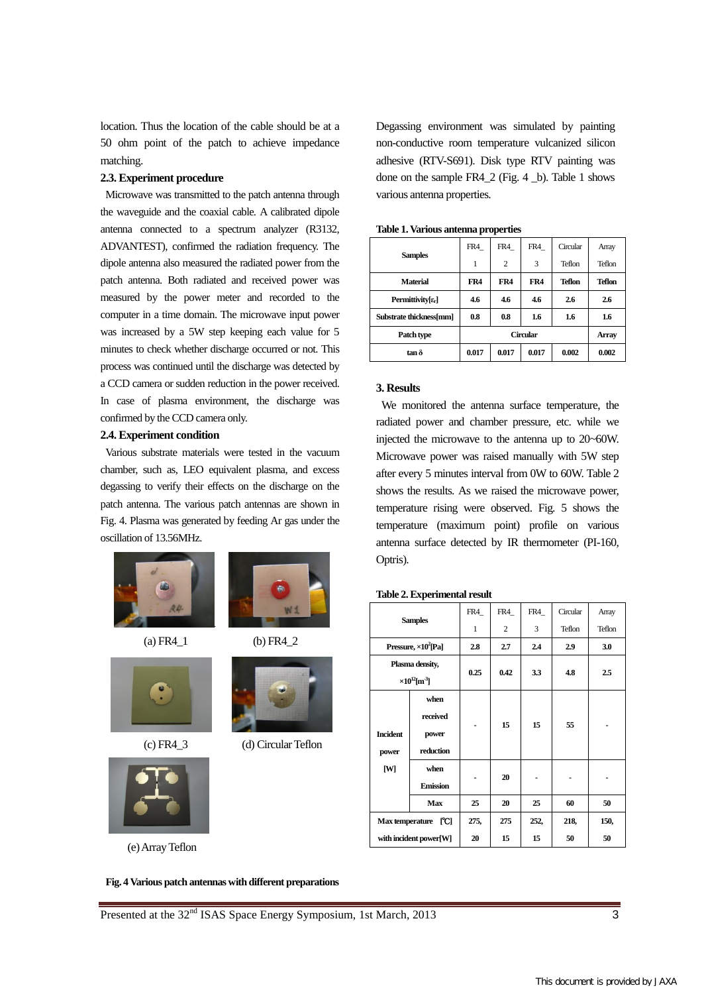location. Thus the location of the cable should be at a 50 ohm point of the patch to achieve impedance matching.

#### **2.3. Experiment procedure**

Microwave was transmitted to the patch antenna through the waveguide and the coaxial cable. A calibrated dipole antenna connected to a spectrum analyzer (R3132, ADVANTEST), confirmed the radiation frequency. The dipole antenna also measured the radiated power from the patch antenna. Both radiated and received power was measured by the power meter and recorded to the computer in a time domain. The microwave input power was increased by a 5W step keeping each value for 5 minutes to check whether discharge occurred or not. This process was continued until the discharge was detected by a CCD camera or sudden reduction in the power received. In case of plasma environment, the discharge was confirmed by the CCD camera only.

### **2.4. Experiment condition**

Various substrate materials were tested in the vacuum chamber, such as, LEO equivalent plasma, and excess degassing to verify their effects on the discharge on the patch antenna. The various patch antennas are shown in Fig. 4. Plasma was generated by feeding Ar gas under the oscillation of 13.56MHz.



(a) FR4\_1 (b) FR4\_2



(c) FR4\_3 (d) Circular Teflon



(e) Array Teflon



Degassing environment was simulated by painting non-conductive room temperature vulcanized silicon adhesive (RTV-S691). Disk type RTV painting was done on the sample FR4\_2 (Fig. 4 \_b). Table 1 shows various antenna properties.

| <b>Samples</b>                  | FR4   | FR4            | FR4   | Circular      | Array         |  |  |  |  |
|---------------------------------|-------|----------------|-------|---------------|---------------|--|--|--|--|
|                                 |       | $\overline{c}$ | 3     | Teflon        | Teflon        |  |  |  |  |
| <b>Material</b>                 | FR4   | FR4            | FR4   | <b>Teflon</b> | <b>Teflon</b> |  |  |  |  |
| Permittivity[ $\varepsilon_r$ ] | 4.6   | 4.6            | 4.6   | 2.6           | 2.6           |  |  |  |  |
| Substrate thickness[mm]         | 0.8   | 0.8            | 1.6   | 1.6           | 1.6           |  |  |  |  |
| Patch type                      |       | Array          |       |               |               |  |  |  |  |
| $\tan \delta$                   | 0.017 | 0.017          | 0.017 | 0.002         | 0.002         |  |  |  |  |

**Table 1. Various antenna properties** 

#### **3. Results**

 We monitored the antenna surface temperature, the radiated power and chamber pressure, etc. while we injected the microwave to the antenna up to 20~60W. Microwave power was raised manually with 5W step after every 5 minutes interval from 0W to 60W. Table 2 shows the results. As we raised the microwave power, temperature rising were observed. Fig. 5 shows the temperature (maximum point) profile on various antenna surface detected by IR thermometer (PI-160, Optris).

#### **Table 2. Experimental result**

| <b>Samples</b>                                         |                                        | FR4  | FR4  | FR4  | Circular | Array  |
|--------------------------------------------------------|----------------------------------------|------|------|------|----------|--------|
|                                                        |                                        | 1    | 2    | 3    | Teflon   | Teflon |
| Pressure, $\times 10^2$ [Pa]                           |                                        | 2.8  | 2.7  | 2.4  | 2.9      | 3.0    |
| Plasma density,<br>$\times 10^{12}$ [m <sup>-3</sup> ] |                                        | 0.25 | 0.42 | 3.3  | 4.8      | 2.5    |
| <b>Incident</b><br>power<br>[W]                        | when<br>received<br>power<br>reduction |      | 15   | 15   | 55       |        |
|                                                        | when<br><b>Emission</b>                |      | 20   |      |          |        |
|                                                        | Max                                    | 25   | 20   | 25   | 60       | 50     |
| Max temperature [C]                                    |                                        | 275, | 275  | 252, | 218,     | 150,   |
| with incident power[W]                                 |                                        | 20   | 15   | 15   | 50       | 50     |

Presented at the 32<sup>nd</sup> ISAS Space Energy Symposium, 1st March, 2013 3